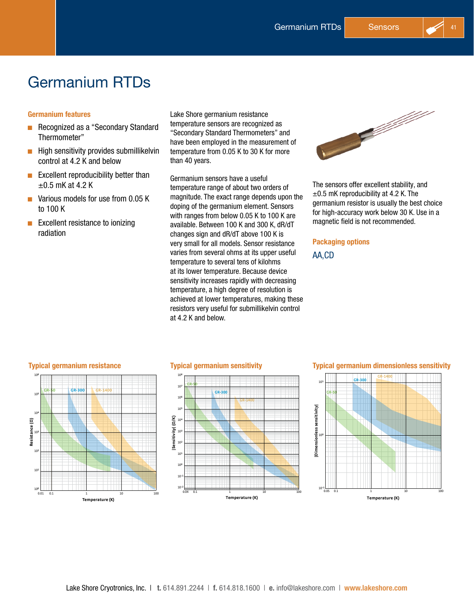# Germanium RTDs

# Germanium features

- Recognized as a "Secondary Standard Thermometer"
- $\blacksquare$  High sensitivity provides submillikelvin control at 4.2 K and below
- $\blacksquare$  Excellent reproducibility better than  $\pm$ 0.5 mK at 4.2 K
- $\blacksquare$  Various models for use from 0.05 K to 100 K
- $\blacksquare$  Excellent resistance to ionizing radiation

Lake Shore germanium resistance temperature sensors are recognized as "Secondary Standard Thermometers" and have been employed in the measurement of temperature from 0.05 K to 30 K for more than 40 years.

Germanium sensors have a useful temperature range of about two orders of magnitude. The exact range depends upon the doping of the germanium element. Sensors with ranges from below 0.05 K to 100 K are available. Between 100 K and 300 K, dR/dT changes sign and dR/dT above 100 K is very small for all models. Sensor resistance varies from several ohms at its upper useful temperature to several tens of kilohms at its lower temperature. Because device sensitivity increases rapidly with decreasing temperature, a high degree of resolution is achieved at lower temperatures, making these resistors very useful for submillikelvin control at 4.2 K and below.



The sensors offer excellent stability, and  $\pm 0.5$  mK reproducibility at 4.2 K. The germanium resistor is usually the best choice for high-accuracy work below 30 K. Use in a magnetic field is not recommended.

# Packaging options

# AA,CD





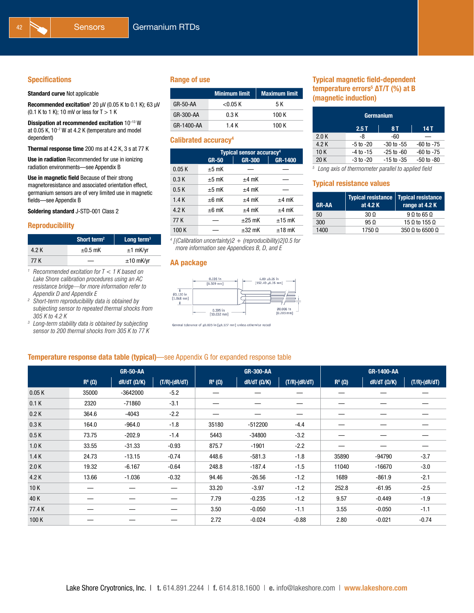#### Specifications

#### Standard curve Not applicable

Recommended excitation<sup>1</sup> 20  $\mu$ V (0.05 K to 0.1 K); 63  $\mu$ V (0.1 K to 1 K); 10 mV or less for  $T > 1$  K

Dissipation at recommended excitation 10<sup>-13</sup> W at 0.05 K, 10–7 W at 4.2 K (temperature and model dependent)

Thermal response time 200 ms at 4.2 K, 3 s at 77 K

Use in radiation Recommended for use in ionizing radiation environments—see Appendix B

Use in magnetic field Because of their strong magnetoresistance and associated orientation effect, germanium sensors are of very limited use in magnetic fields—see Appendix B

Soldering standard J-STD-001 Class 2

#### Reproducibility

|       | Short term <sup>2</sup> | Long term $3$  |
|-------|-------------------------|----------------|
| 4.2 K | $\pm 0.5$ mK            | $±1$ mK/yr     |
| 77 K  |                         | $\pm 10$ mK/yr |

*<sup>1</sup> Recommended excitation for T < 1 K based on Lake Shore calibration procedures using an AC resistance bridge—for more information refer to Appendix D and Appendix E*

*<sup>2</sup> Short-term reproducibility data is obtained by subjecting sensor to repeated thermal shocks from 305 K to 4.2 K*

*<sup>3</sup> Long-term stability data is obtained by subjecting sensor to 200 thermal shocks from 305 K to 77 K*

#### Range of use

|            | <b>Minimum limit</b> | <b>Maximum limit</b> |
|------------|----------------------|----------------------|
| GR-50-AA   | $<$ 0.05 K           | 5 K                  |
| GR-300-AA  | 0.3 K                | 100 K                |
| GR-1400-AA | 1.4 K                | 100 K                |

#### Calibrated accuracy<sup>4</sup>

|       | <b>Typical sensor accuracy<sup>4</sup></b> |               |          |  |
|-------|--------------------------------------------|---------------|----------|--|
|       | <b>GR-50</b>                               | <b>GR-300</b> | GR-1400  |  |
| 0.05K | $±5$ mK                                    |               |          |  |
| 0.3K  | $±5$ mK                                    | $±4$ mK       |          |  |
| 0.5K  | $±5$ mK                                    | $±4$ mK       |          |  |
| 1.4K  | $±6$ mK                                    | $±4$ mK       | $±4$ mK  |  |
| 4.2K  | $±6$ mK                                    | $±4$ mK       | $±4$ mK  |  |
| 77 K  |                                            | $\pm 25$ mK   | $±15$ mK |  |
| 100K  |                                            | $\pm 32$ mK   | $±18$ mK |  |



### Temperature response data table (typical)—see Appendix G for expanded response table

# *4 [(Calibration uncertainty)2 + (reproducibility)2]0.5 for more information see Appendices B, D, and E* AA package



General tolerance of  $\pm 0.005$  in [ $\pm 0.127$  mm] unless otherwise noted

## Typical magnetic field-dependent temperature errors<sup>5</sup> ΔT/T (%) at B (magnetic induction)

| Germanium           |               |                |                |  |  |  |
|---------------------|---------------|----------------|----------------|--|--|--|
| 2.5T<br>14 T<br>8 T |               |                |                |  |  |  |
| 2.0 K               | -8            | -60            |                |  |  |  |
| 4.2 K               | $-5$ to $-20$ | $-30$ to $-55$ | $-60$ to $-75$ |  |  |  |
| 10K                 | $-4$ to $-15$ | $-25$ to $-60$ | $-60$ to $-75$ |  |  |  |
| 20 K                | $-3$ to $-20$ | $-15$ to $-35$ | $-50$ to $-80$ |  |  |  |

*<sup>5</sup> Long axis of thermometer parallel to applied field*

#### Typical resistance values

| <b>GR-AA</b> | Typical resistance   Typical resistance<br>at 4.2 K | range at 4.2 K                |  |  |
|--------------|-----------------------------------------------------|-------------------------------|--|--|
| $50^{\circ}$ | 30 O                                                | $9 \Omega$ to 65 $\Omega$     |  |  |
| 300          | 950                                                 | 15 $\Omega$ to 155 $\Omega$   |  |  |
| 1400         | 17500                                               | 350 $\Omega$ to 6500 $\Omega$ |  |  |

|       |                        | <b>GR-50-AA</b>        |                       |                        | <b>GR-300-AA</b>       |                       |                        | GR-1400-AA         |                     |
|-------|------------------------|------------------------|-----------------------|------------------------|------------------------|-----------------------|------------------------|--------------------|---------------------|
|       | $\mathsf{R}^8(\Omega)$ | $dR/dT$ ( $\Omega/K$ ) | $(T/R) \cdot (dR/dT)$ | $\mathsf{R}^8(\Omega)$ | $dR/dT$ ( $\Omega/K$ ) | $(T/R) \cdot (dR/dT)$ | $\mathbf{R}^8(\Omega)$ | $dR/dT (\Omega/K)$ | $(T/R)$ · $(dR/dT)$ |
| 0.05K | 35000                  | $-3642000$             | $-5.2$                |                        |                        |                       |                        |                    |                     |
| 0.1K  | 2320                   | $-71860$               | $-3.1$                |                        |                        |                       |                        |                    |                     |
| 0.2K  | 364.6                  | $-4043$                | $-2.2$                |                        |                        |                       |                        |                    |                     |
| 0.3K  | 164.0                  | $-964.0$               | $-1.8$                | 35180                  | $-512200$              | $-4.4$                |                        |                    |                     |
| 0.5K  | 73.75                  | $-202.9$               | $-1.4$                | 5443                   | $-34800$               | $-3.2$                |                        |                    |                     |
| 1.0K  | 33.55                  | $-31.33$               | $-0.93$               | 875.7                  | $-1901$                | $-2.2$                |                        |                    |                     |
| 1.4K  | 24.73                  | $-13.15$               | $-0.74$               | 448.6                  | $-581.3$               | $-1.8$                | 35890                  | -94790             | $-3.7$              |
| 2.0K  | 19.32                  | $-6.167$               | $-0.64$               | 248.8                  | $-187.4$               | $-1.5$                | 11040                  | $-16670$           | $-3.0$              |
| 4.2 K | 13.66                  | $-1.036$               | $-0.32$               | 94.46                  | $-26.56$               | $-1.2$                | 1689                   | $-861.9$           | $-2.1$              |
| 10K   |                        |                        |                       | 33.20                  | $-3.97$                | $-1.2$                | 252.8                  | $-61.95$           | $-2.5$              |
| 40 K  |                        |                        |                       | 7.79                   | $-0.235$               | $-1.2$                | 9.57                   | $-0.449$           | $-1.9$              |
| 77.4K |                        |                        |                       | 3.50                   | $-0.050$               | $-1.1$                | 3.55                   | $-0.050$           | $-1.1$              |
| 100K  |                        |                        |                       | 2.72                   | $-0.024$               | $-0.88$               | 2.80                   | $-0.021$           | $-0.74$             |
|       |                        |                        |                       |                        |                        |                       |                        |                    |                     |